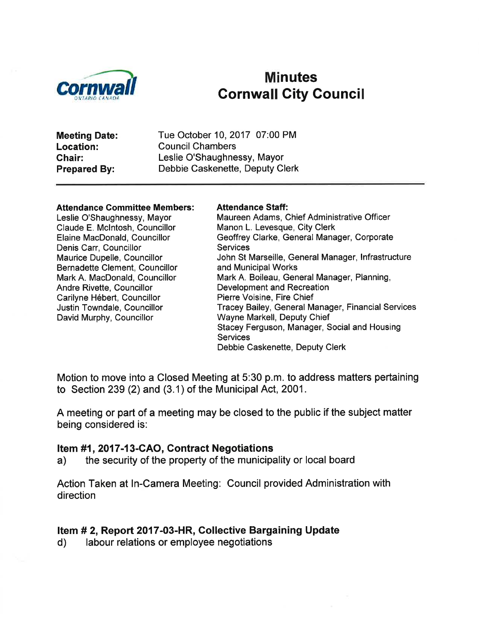

# **Minutes** Gornwall City Gouncil

| <b>Meeting Date:</b> | Tue October 10, 2017 07:00 PM   |
|----------------------|---------------------------------|
| Location:            | <b>Council Chambers</b>         |
| <b>Chair:</b>        | Leslie O'Shaughnessy, Mayor     |
| <b>Prepared By:</b>  | Debbie Caskenette, Deputy Clerk |

#### **Attendance Committee Members:**

Leslie O'Shaughnessy, Mayor Claude E. Mclntosh, Councillor Elaine MacDonald, Councillor Denis Carr, Councillor Maurice Dupelle, Councillor Bernadette Clement, Councillor Mark A. MacDonald, Councillor Andre Rivette, Councillor Carilyne Hébert, Councillor Justin Towndale, Councillor David Murphy, Councillor

#### Attendance Staff:

Maureen Adams, Chief Administrative Officer Manon L. Levesque, City Clerk Geoffrey Clarke, General Manager, Corporate **Services** John St Marseille, General Manager, lnfrastructure and Municipal Works Mark A. Boileau, General Manager, Planning, Development and Recreation Pierre Voisine, Fire Chief Tracey Bailey, General Manager, Financial Services Wayne Markell, Deputy Chief Stacey Ferguson, Manager, Social and Housing **Services** Debbie Caskenette, Deputy Clerk

Motion to move into a Closed Meeting at 5:30 p.m. to address matters pertaining to Section 239 (2) and (3.1) of the Municipal Act, 2001.

A meeting or part of a meeting may be closed to the public if the subject matter being considered is:

### Item #1, 2017-13-CAO, Contract Negotiations

a) the security of the property of the municipality or local board

Action Taken at In-Camera Meeting: Council provided Administration with direction

### Item # 2, Report 2017-03-HR, Collective Bargaining Update

d) labour relations or employee negotiations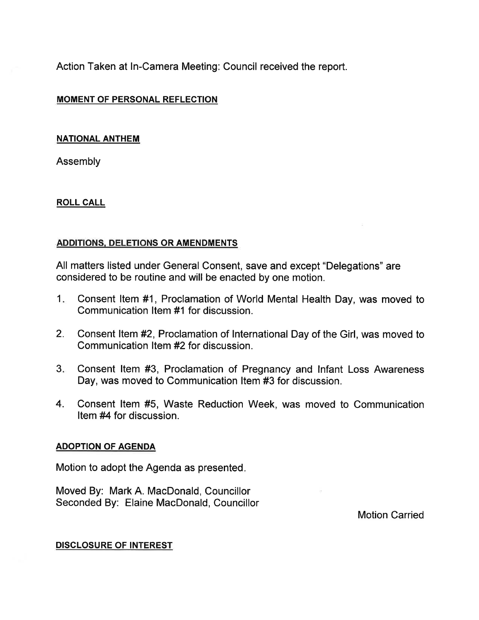Action Taken at In-Camera Meeting: Council received the report.

### MOMENT OF PERSONAL REFLECTION

#### NATIONAL ANTHEM

Assembly

### ROLL CALL

### ADDITIONS. DELETIONS OR AMENDMENTS

All matters listed under General Consent, save and except "Delegations" are considered to be routine and will be enacted by one motion.

- Consent ltem #1, Proclamation of World Mental Health Day, was moved to Communication ltem #1 for discussion.  $1<sub>1</sub>$
- 2. Consent ltem#2, Proclamation of International Day of the Girl, was moved to Communication ltem #2 for discussion.
- Consent ltem #3, Proclamation of Pregnancy and lnfant Loss Awareness Day, was moved to Communication ltem #3 for discussion. 3
- 4. Consent ltem #5, Waste Reduction Week, was moved to Communication Item #4 for discussion.

### ADOPTION OF AGENDA

Motion to adopt the Agenda as presented

Moved By: Mark A. MacDonald, Councillor Seconded By: Elaine MacDonald, Councillor

Motion Carried

#### DISCLOSURE OF INTEREST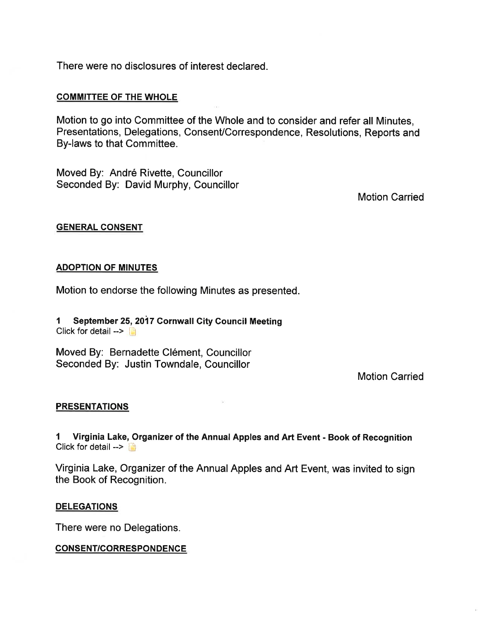There were no disclosures of interest declared.

#### COMMITTEE OF THE WHOLE

Motion to go into Committee of the Whole and to consider and refer all Minutes, Presentations, Delegations, Consent/Correspondence, Resolutions, Reports and By-laws to that Committee.

Moved By: André Rivette, Councillor Seconded By: David Murphy, Councillor

Motion Carried

#### GENERAL CONSENT

#### ADOPTION OF MINUTES

Motion to endorse the following Minutes as presented.

I September 25,2017 Gornwall Gity Gouncil Meeting Click for detail  $\rightarrow$ 

Moved By: Bernadette Clément, Councillor Seconded By: Justin Towndale, Councillor

Motion Carried

#### PRESENTATIONS

I Virginia Lake, Organizer of the Annual Apples and Art Event - Book of Recognition Click for detail  $- \Box$ 

Virginia Lake, Organizer of the Annual Apples and Art Event, was invited to sign the Book of Recognition.

#### DELEGATIONS

There were no Delegations.

CONSENT/CORRESPONDENCE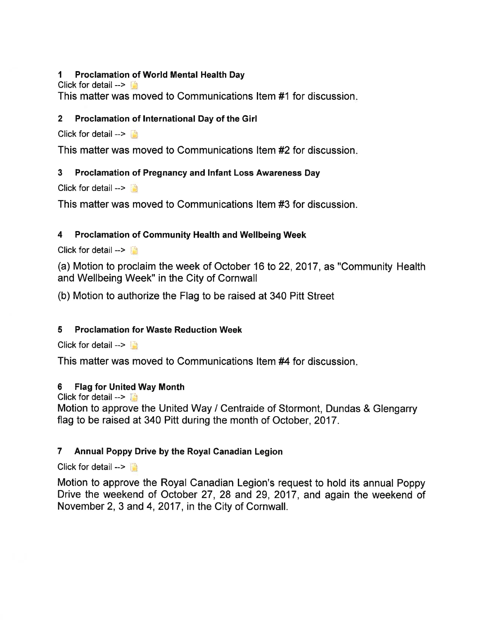### I Proclamation of World Mental Health Day

Click for detail  $\rightarrow$   $\mathbb{I}$ 

This matter was moved to Communications ltem #1 for discussion

# 2 Proclamation of lnternational Day of the Girl

Click for detail  $\rightarrow$ 

This matter was moved to Communications ltem#2 for discussion

# 3 Proclamation of Pregnancy and lnfant Loss Awareness Day

Click for detail  $\rightarrow$ 

This matter was moved to Communications ltem #3 for discussion.

# 4 Proclamation of Community Health and Wellbeing Week

Click for detail  $\rightarrow$ 

(a) Motion to proclaim the week of October 16 to 22,2017, as "Community Health and Wellbeing Week" in the City of Cornwall

(b) Motion to authorize the Flag to be raised at 340 Pitt Street

# 5 Proclamation for Waste Reduction Week

Click for detail  $\rightarrow$ 

This matter was moved to Communications ltem #4 for discussion

### 6 Flag for United Way Month

Click for detail  $- \Box$ 

Motion to approve the United Way / Centraide of Stormont, Dundas & Glengarry flag to be raised at 340 Pitt during the month of October, 2017.

# 7 Annual Poppy Drive by the Royal Ganadian Legion

Click for detail  $\rightarrow$ 

Motion to approve the Royal Canadian Legion's request to hold its annual Poppy Drive the weekend of October 27, 28 and 29, 2017, and again the weekend of November 2, 3 and 4, 2017, in the City of Cornwall.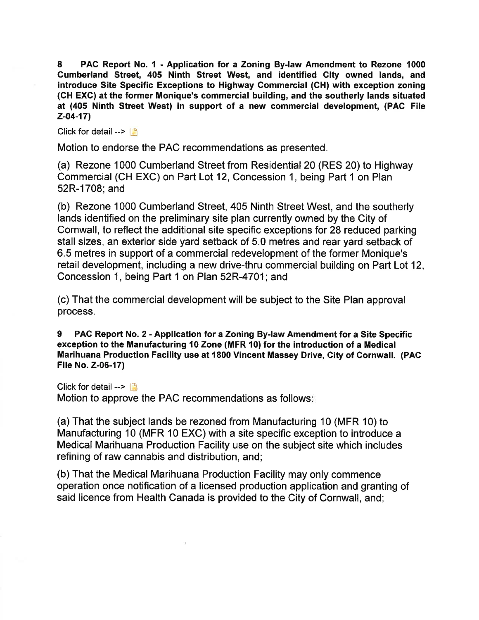8 PAC Report No. I - Application for a Zoning By-law Amendment to Rezone <sup>1000</sup> Cumberland Street, 405 Ninth Street West, and identified City owned lands, and introduce Site Specific Exceptions to Highway Commercial (CH) with exception zoning (CH EXC) at the former Monique's commercial building, and the southerly lands situated at (405 Ninth Street West) in support of a new commercial development, (PAC File  $Z-04-17$ 

Click for detail  $\rightarrow$ 

Motion to endorse the PAC recommendations as presented.

(a) Rezone 1000 Cumberland Street from Residential 20 (RES 20) to Highway Commercial (CH EXC) on Part Lot 12, Concession 1, being Part 1 on Plan 52R-1708; and

(b) Rezone 1000 Cumberland Street, 405 Ninth Street West, and the southerly lands identified on the preliminary site plan currently owned by the City of Cornwall, to reflect the additional site specific exceptions for 28 reduced parking stall sizes, an exterior side yard setback of 5.0 metres and rear yard setback of 6.5 metres in support of a commercial redevelopment of the former Monique's retail development, including a new drive-thru commercial building on Part Lot 12, Concession 1, being Part 1 on Plan 52R-4701; and

(c) That the commercial development will be subject to the Site Plan approval process.

9 PAG Report No. 2 - Application for a Zoning By-law Amendment for a Site Specific exception to the Manufacturing 10 Zone (MFR 10) for the introduction of a Medical Marihuana Production Facility use at 1800 Vincent Massey Drive, Gity of Cornwall. (PAC File No. Z-06-17)

Click for detail -->  $\Box$ 

Motion to approve the PAC recommendations as follows

(a) That the subject lands be rezoned from Manufacturing 10 (MFR '10) to Manufacturing 10 (MFR 10 EXC) with a site specific exception to introduce a Medical Marihuana Production Facility use on the subject site which includes refining of raw cannabis and distribution, and;

(b) That the Medical Marihuana Production Facility may only commence operation once notification of a licensed production application and granting of said licence from Health Canada is provided to the City of Cornwall, and;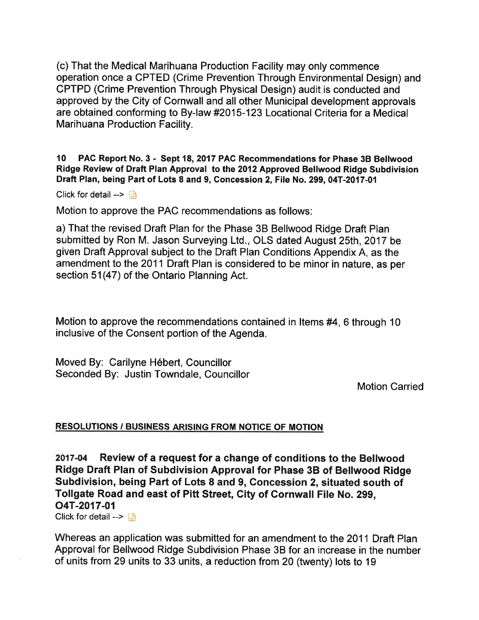(c) That the Medical Marihuana Production Facility may only commence operation once a CPTED (Crime Prevention Through Environmental Design) and CPTPD (Crime Prevention Through Physical Design) audit is conducted and approved by the City of Cornwall and all other Municipal development approvals are obtained conforming to By-law #2015-123 Locational Criteria for a Medical Marihuana Production Facllity.

10 PAG Report No.3 - Sept 18,2017 PAG Recommendations for Phase 38 Bellwood Ridge Review of Draft Plan Approval to the 2012 Approved Bellwood Ridge Subdivision Draft Plan, being Part of Lots 8 and 9, Concession 2, File No. 299, 04T-2017-01

Click for detail  $\rightarrow$ 

Motion to approve the PAC recommendations as follows:

a) That the revised Draft Plan for the Phase 38 Bellwood Ridge Draft Plan submitted by Ron M. Jason Surveying Ltd., OLS dated August 25th,2017 be given Draft Approval subject to the Draft Plan Conditions Appendix A, as the amendment to the 2011 Draft Plan is considered to be minor in nature, as per section 51(47) of the Ontario Planning Act.

Motion to approve the recommendations contained in Items  $#4, 6$  through 10 inclusive of the Consent portion of the Agenda.

Moved By: Carilyne Hébert, Councillor Seconded By: Justin Towndale, Councillor

Motion Carried

#### RESOLUTIONS / BUSINESS ARISING FROM NOTICE OF MOTION

2017-04 Review of a request for a change of conditions to the Bellwood Ridge Draft Plan of Subdivision Approval for Phase 38 of Bellwood Ridge Subdivision, being Part of Lots 8 and 9, Concession 2, situated south of Tollgate Road and east of Pitt Street, Gity of Cornwall File No. 299, o4T-2017-01

Click for detail  $\rightarrow \Box$ 

Whereas an application was submitted for an amendment to the 2011 Draft Plan Approval for Bellwood Ridge Subdivision Phase 38 for an increase in the number of units from 29 units to 33 units, a reduction from 20 (twenty) lots to 19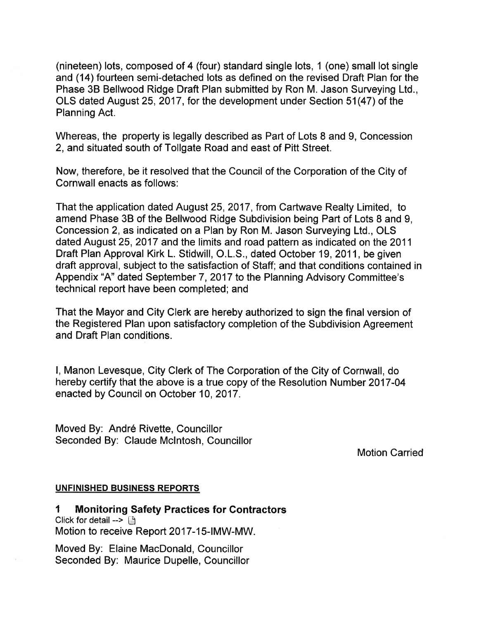(nineteen) lots, composed of 4 (four) standard single lots, 1 (one) small lot single and (14) fourteen semi-detached lots as defined on the revised Draft Plan for the Phase 38 Bellwood Ridge Draft Plan submitted by Ron M. Jason Surveying Ltd., OLS dated August 25, 2017, for the development under Section 51(47) of the Planning Act.

Whereas, the property is legally described as Part of Lots 8 and 9, Concession 2, and situated south of Tollgate Road and east of Pitt Street.

Now, therefore, be it resolved that the Council of the Corporation of the City of Cornwall enacts as follows:

That the application dated August 25,2017, from Cartwave Realty Limited, to amend Phase 3B of the Bellwood Ridge Subdivision being Part of Lots 8 and 9, Concession 2, as indicated on a Plan by Ron M. Jason Surveying Ltd., OLS dated August 25,2017 and the limits and road pattern as indicated on the 2011 Draft Plan Approval Kirk L. Stidwill, O.L.S., dated October 19,2011, be given draft approval, subject to the satisfaction of Staff; and that conditions contained in Appendix "A" dated September 7, 2017 to the Planning Advisory Committee's technical report have been completed; and

That the Mayor and City Clerk are hereby authorized to sign the final version of the Registered Plan upon satisfactory completion of the Subdivision Agreement and Draft Plan conditions.

l, Manon Levesque, City Clerk of The Corporation of the City of Cornwall, do hereby certify that the above is a true copy of the Resolution Number 2017-04 enacted by Council on October 10,2017.

Moved By: André Rivette, Councillor Seconded By: Claude Mclntosh, Councillor

Motion Carried

### UNFINISHED BUSINESS REPORTS

I Monitoring Safety Practices for Gontractors Click for detail  $\rightarrow$  [9] Motion to receive Report 2017-15-|MW-MW.

Moved By: Elaine MacDonald, Councillor Seconded By: Maurice Dupelle, Gouncillor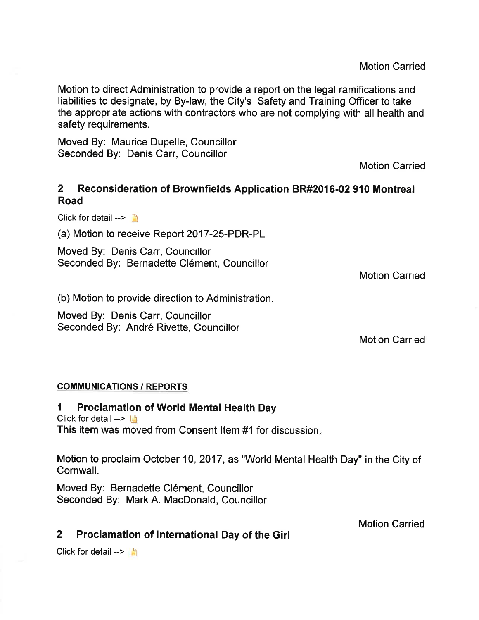Motion to direct Administration to provide a report on the legal ramifications and liabilities to designate, by By-law, the City's Safety and Training Officer to take the appropriate actions with contractors who are not complying with all health and safety requirements.

Moved By: Maurice Dupelle, Councillor Seconded By: Denis Carr, Councillor

Motion Carried

# 2 Reconsideration of Brownfields Application BR#2016-02 910 Montreal Road

Click for detail  $\rightarrow$ 

(a) Motion to receive Report 2017-25-PDR-PL

Moved By: Denis Carr, Councillor Seconded By: Bernadette Clément, Councillor

Motion Carried

(b) Motion to provide direction to Administration.

Moved By: Denis Carr, Councillor Seconded By: André Rivette, Councillor

Motion Carried

### COMMUNICATIONS / REPORTS

### 1 Proclamation of World Mental Health Day

Click for detail  $\rightarrow$ This item was moved from Consent ltem #1 for discussion

Motion to proclaim October 10,2017, as "World Mental Health Day" in the City of Cornwall.

Moved By: Bernadette Clément, Councillor Seconded By: Mark A. MacDonald, Councillor

Motion Carried

# 2 Proclamation of lnternational Day of the Girl

Click for detail  $\rightarrow$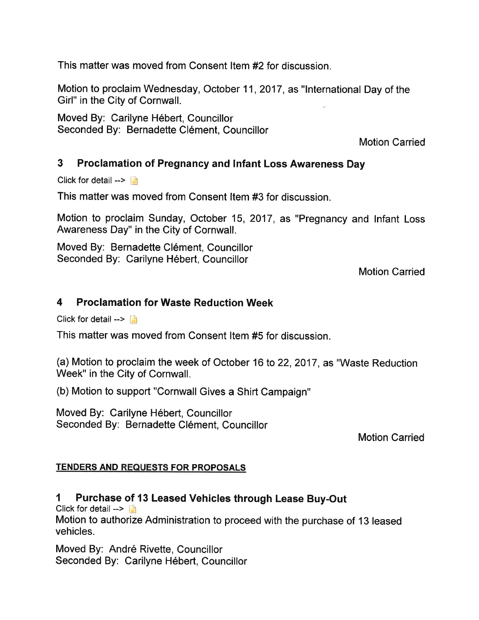This matter was moved from Consent Item #2 for discussion.

Motion to proclaim Wednesday, October 11,2017, as "lnternational Day of the Girl" in the City of Cornwall.

Moved By: Carilyne Hébert, Councillor Seconded By: Bernadette Clément, Councillor

Motion Carried

# 3 Proclamation of Pregnancy and lnfant Loss Awareness Day

Click for detail  $\rightarrow$ 

This matter was moved from Consent ltem #3 for discussion.

Motion to proclaim Sunday, October 15, 2017, as "Pregnancy and lnfant Loss Awareness Day" in the City of Cornwall.

Moved By: Bernadette Clément, Councillor Seconded By: Carilyne Hébert, Councillor

Motion Carried

# 4 Proclamation for Waste Reduction Week

Click for detail  $\rightarrow$ 

This matter was moved from Consent ltem #5 for discussion.

(a) Motion to proclaim the week of October 16 to 22,2017, as "Waste Reduction Week" in the City of Cornwall.

(b) Motion to support "Cornwall Gives a Shirt Campaign"

Moved By: Carilyne Hébert, Councillor Seconded By: Bernadette Clément, Councillor

Motion Carried

# **TENDERS AND REQUESTS FOR PROPOSALS**

# 1 Purchase of 13 Leased Vehicles through Lease Buy-Out

Click for detail  $\rightarrow$ 

Motion to authorize Administration to proceed with the purchase of 13 leased vehicles.

Moved By: André Rivette, Councillor Seconded By: Carilyne Hébert, Councillor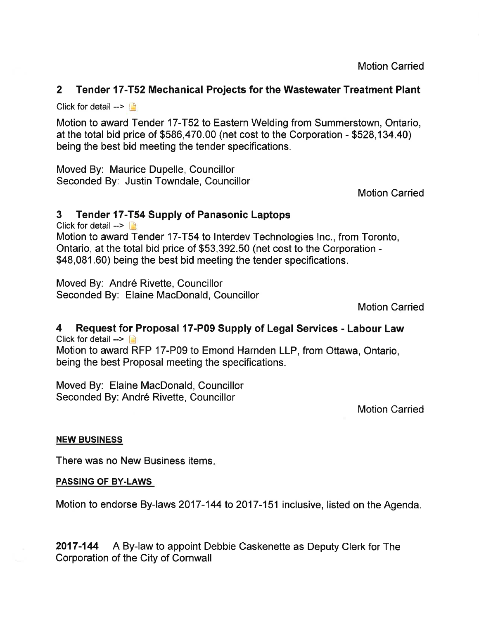Motion Carried

# 2 Tender 17-T52 Mechanical Projects for the Wastewater Treatment Plant

Click for detail  $\rightarrow$ 

Motion to award Tender 17-T52 to Eastern Welding from Summerstown, Ontario, at the total bid price of \$586,470.00 (net cost to the Corporation - \$528,134.40) being the best bid meeting the tender specifications.

Moved By: Maurice Dupelle, Councillor Seconded By: Justin Towndale, Councillor

Motion Carried

# 3 Tender 17-T54 Supply of Panasonic Laptops

Click for detail -- $>$   $\Box$ Motion to award Tender 17-T54 to lnterdev Technologies lnc., from Toronto, Ontario, at the total bid price of \$53,392.50 (net cost to the Corporation - \$48,081.60) being the best bid meeting the tender specifications.

Moved By: André Rivette, Councillor Seconded By: Elaine MacDonald, Councillor

Motion Carried

### 4 Request for Proposal l7-P09 Supply of Legal Services - Labour Law Click for detail -- $>$

Motion to award RFP 17-P09 to Emond Harnden LLP, from Ottawa, Ontario, being the best Proposal meeting the specifications.

Moved By: Elaine MacDonald, Councillor Seconded By: André Rivette, Councillor

Motion Carried

### NEW BUSINESS

There was no New Business items

### PASSING OF BY.LAWS

Motion to endorse By-laws 2017-144 to 2017-151 inclusive, listed on the Agenda.

2017-144 A By-law to appoint Debbie Caskenette as Deputy Clerk for The Corporation of the City of Cornwall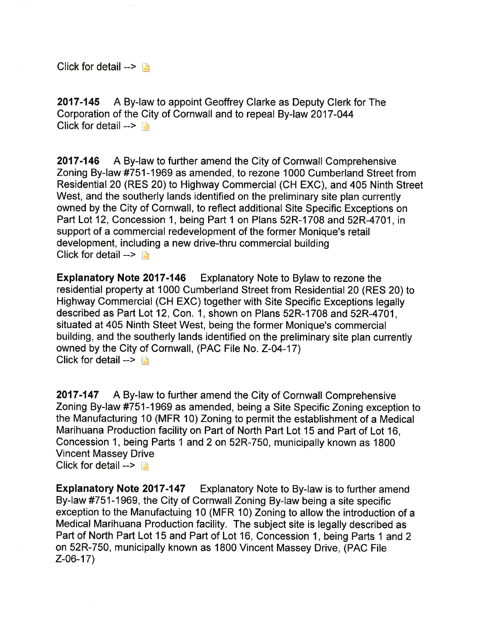Click for detail  $\rightarrow$ 

2017-145 A By-law to appoint Geoffrey Clarke as Deputy Clerk for The Corporation of the City of Cornwall and to repeal By-law 2017-044 Click for detail  $\rightarrow$ 

2017-146 A By-law to further amend the City of Cornwall Comprehensive Zoning By-law #751-1969 as amended, to rezone 1000 Cumberland Street from Residential20 (RES 20) to Highway Commercial (CH EXC), and 405 Ninth Street West, and the southerly lands identified on the preliminary site plan currently owned by the City of Cornwall, to reflect additional Site Specific Exceptions on Part Lot 12, Concession 1, being Part 1 on Plans 52R-1708 and 52R-4701, in support of a commercial redevelopment of the former Monique's retail development, including a new drive-thru commercial building Click for detail  $\rightarrow$   $\rightarrow$ 

Expfanatory Note 2017-146 Explanatory Note to Bylaw to rezone the residential property at 1000 Cumberland Street from Residential 20 (RES 20) to Highway Commercial (CH EXC) together with Site Specific Exceptions legally described as Part Lot 12, Con. 1, shown on Plans 52R-1708 and 52R-4701, situated at 405 Ninth Steet West, being the former Monique's commercial building, and the southerly lands identified on the preliminary site plan currently owned by the City of Cornwall, (PAC File No. 2^04-17) Click for detail  $\rightarrow$ 

2017-147 A By-law to further amend the City of Cornwall Comprehensive Zoning By-law #751-1969 as amended, being a Site Specific Zoning exception to the Manufacturing 10 (MFR 10) Zoning to permit the establishment of a Medical Marihuana Production facility on Part of North Part Lot 15 and Part of Lot 16, Concession 1, being Parts 1 and 2 on 52R-750, municipally known as 1800 Vincent Massey Drive Click for detail  $\rightarrow$ 

Expfanatory Note 2017-147 Explanatory Note to By-law is to further amend By-law #751-1969, the City of Cornwall Zoning By-law being a site specific exception to the Manufactuing 10 (MFR 10) Zoning to allow the introduction of a Medical Marihuana Production facility. The subject site is legally described as Part of North Part Lot 15 and Part of Lot 16, Concession 1, being Parts 1 and 2 on 52R-750, municipally known as 1800 Vincent Massey Drive, (PAC File Z-06-17)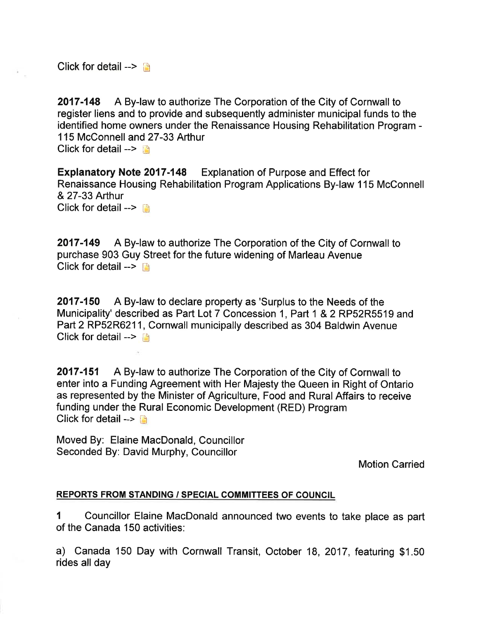Click for detail  $\rightarrow$ 

2017-148 A By-law to authorize The Corporation of the City of Cornwall to register liens and to provide and subsequently administer municipal funds to the identified home owners under the Renaissance Housing Rehabilitation Program - <sup>1</sup>15 McConnell and 27-33 Arthur Click for detail  $\rightarrow$ 

Expfanatory Note 2017-148 Explanation of Purpose and Effect for Renaissance Housing Rehabilitation Program Applications By-law 1 15 McConnell & 27-33 Arthur Click for detail  $\rightarrow$ 

2017-149 A By-law to authorize The Corporation of the City of Cornwall to purchase 903 Guy Street for the future widening of Marleau Avenue Click for detail  $\rightarrow$  n

2017-150 A By-law to declare property as 'Surplus to the Needs of the Municipality' described as Part Lot 7 Concession 1, Part 1 & 2 RP52R5519 and Part 2 RP52R6211, Cornwall municipally described as 304 Baldwin Avenue Click for detail  $>$  14

**2017-151** A By-law to authorize The Corporation of the City of Cornwall to enter into a Funding Agreement with Her Majesty the Queen in Right of Ontario as represented by the Minister of Agriculture, Food and Rural Affairs to receive funding under the Rural Economic Development (RED) Program Click for detail  $--$ 

Moved By: Elaine MacDonald, Councillor Seconded By: David Murphy, Councillor

Motion Carried

### REPORTS FROM STANDING / SPEGIAL COMMITTEES OF COUNCIL

1 Councillor Elaine MacDonald announced two events to take place as part of the Canada 150 activities:

a) Canada 150 Day with Cornwall Transit, October 18, 2017, featuring \$1.50 rides all day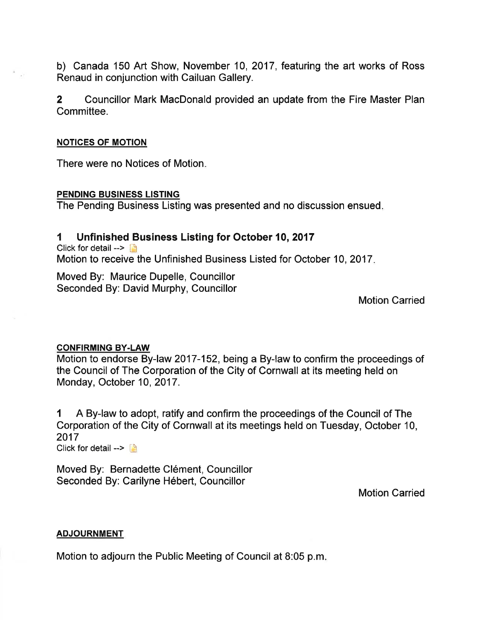b) Canada 150 Art Show, November 10, 2017, featuring the art works of Ross Renaud in conjunction with Cailuan Gallery.

2 Councillor Mark MacDonald provided an update from the Fire Master Plan Committee.

#### NOTICES OF MOTION

There were no Notices of Motion

#### PENDING BUSINESS LISTING

The Pending Business Listing was presented and no discussion ensued

### 1 Unfinished Business Listing for October 10, 2017

Click for detail  $\rightarrow$ Motion to receive the Unfinished Business Listed for October 10, 2017

Moved By: Maurice Dupelle, Councillor Seconded By: David Murphy, Councillor

Motion Carried

#### CONFIRMING BY-LAW

Motion to endorse By-law 2017-152, being a By-law to confirm the proceedings of the Council of The Corporation of the City of Cornwall at its meeting held on Monday, October 10, 2017.

I <sup>A</sup>By-law to adopt, ratify and confirm the proceedings of the Council of The Corporation of the City of Cornwall at its meetings held on Tuesday, October 10, 2017 Click for detail  $\rightarrow$ 

Moved By: Bernadette Clément, Councillor Seconded By: Carilyne Hébert, Councillor

Motion Carried

#### **ADJOURNMENT**

Motion to adjourn the Public Meeting of Council at 8:05 p.m